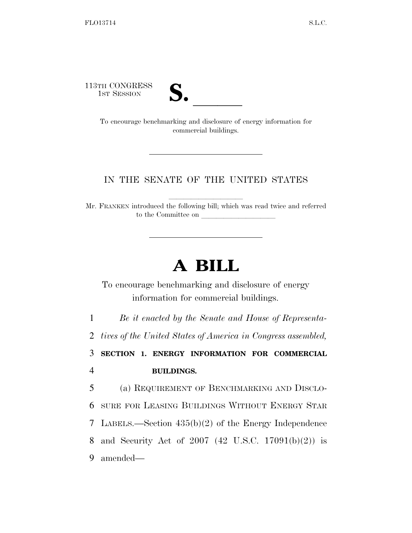113TH CONGRESS<br>1st Session



TH CONGRESS<br>
1st Session<br>
To encourage benchmarking and disclosure of energy information for commercial buildings.

## IN THE SENATE OF THE UNITED STATES

Mr. FRANKEN introduced the following bill; which was read twice and referred to the Committee on

## **A BILL**

To encourage benchmarking and disclosure of energy information for commercial buildings.

1 *Be it enacted by the Senate and House of Representa-*

2 *tives of the United States of America in Congress assembled,* 

3 **SECTION 1. ENERGY INFORMATION FOR COMMERCIAL**  4 **BUILDINGS.** 

 (a) REQUIREMENT OF BENCHMARKING AND DISCLO- SURE FOR LEASING BUILDINGS WITHOUT ENERGY STAR LABELS.—Section 435(b)(2) of the Energy Independence and Security Act of 2007 (42 U.S.C. 17091(b)(2)) is 9 amended—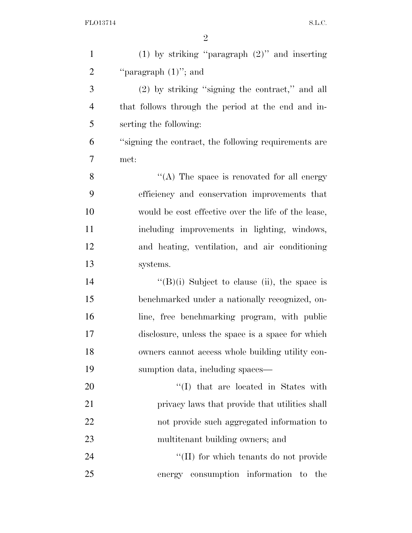| $\mathbf{1}$   | (1) by striking "paragraph $(2)$ " and inserting      |
|----------------|-------------------------------------------------------|
| $\overline{2}$ | "paragraph $(1)$ "; and                               |
| 3              | (2) by striking "signing the contract," and all       |
| $\overline{4}$ | that follows through the period at the end and in-    |
| 5              | serting the following:                                |
| 6              | "signing the contract, the following requirements are |
| 7              | met:                                                  |
| 8              | "(A) The space is renovated for all energy            |
| 9              | efficiency and conservation improvements that         |
| 10             | would be cost effective over the life of the lease,   |
| 11             | including improvements in lighting, windows,          |
| 12             | and heating, ventilation, and air conditioning        |
| 13             | systems.                                              |
| 14             | $\lq\lq(B)(i)$ Subject to clause (ii), the space is   |
| 15             | benchmarked under a nationally recognized, on-        |
| 16             | line, free benchmarking program, with public          |
| $17\,$         | disclosure, unless the space is a space for which     |
| 18             | owners cannot access whole building utility con-      |
| 19             | sumption data, including spaces—                      |
| 20             | "(I) that are located in States with                  |
| 21             | privacy laws that provide that utilities shall        |
| 22             | not provide such aggregated information to            |
| 23             | multitenant building owners; and                      |
| 24             | "(II) for which tenants do not provide                |
| 25             | consumption information to the<br>energy              |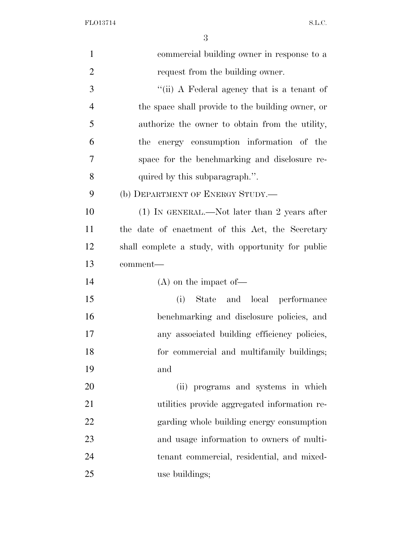FLO13714 S.L.C.

| $\mathbf{1}$   | commercial building owner in response to a          |
|----------------|-----------------------------------------------------|
| $\overline{2}$ | request from the building owner.                    |
| 3              | "(ii) A Federal agency that is a tenant of          |
| $\overline{4}$ | the space shall provide to the building owner, or   |
| 5              | authorize the owner to obtain from the utility,     |
| 6              | the energy consumption information of the           |
| 7              | space for the benchmarking and disclosure re-       |
| 8              | quired by this subparagraph.".                      |
| 9              | (b) DEPARTMENT OF ENERGY STUDY.—                    |
| 10             | $(1)$ IN GENERAL.—Not later than 2 years after      |
| 11             | the date of enactment of this Act, the Secretary    |
| 12             | shall complete a study, with opportunity for public |
| 13             | comment-                                            |
| 14             | $(A)$ on the impact of —                            |
| 15             | State and local performance<br>(i)                  |
| 16             | benchmarking and disclosure policies, and           |
| 17             | any associated building efficiency policies,        |
| 18             | for commercial and multifamily buildings;           |
| 19             | and                                                 |
| 20             | (ii) programs and systems in which                  |
| 21             | utilities provide aggregated information re-        |
| 22             | garding whole building energy consumption           |
| 23             | and usage information to owners of multi-           |
| 24             | tenant commercial, residential, and mixed-          |
|                |                                                     |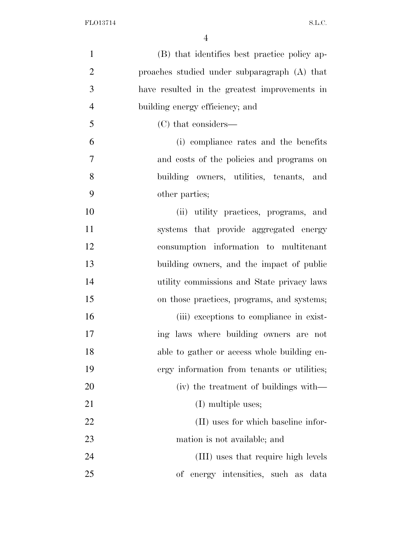| $\mathbf{1}$   | (B) that identifies best practice policy ap-  |
|----------------|-----------------------------------------------|
| $\overline{2}$ | proaches studied under subparagraph (A) that  |
| 3              | have resulted in the greatest improvements in |
| $\overline{4}$ | building energy efficiency; and               |
| 5              | (C) that considers—                           |
| 6              | (i) compliance rates and the benefits         |
| 7              | and costs of the policies and programs on     |
| 8              | building owners, utilities, tenants, and      |
| 9              | other parties;                                |
| 10             | (ii) utility practices, programs, and         |
| 11             | systems that provide aggregated energy        |
| 12             | consumption information to multitenant        |
| 13             | building owners, and the impact of public     |
| 14             | utility commissions and State privacy laws    |
| 15             | on those practices, programs, and systems;    |
| 16             | (iii) exceptions to compliance in exist-      |
| 17             | ing laws where building owners are not        |
| 18             | able to gather or access whole building en-   |
| 19             | ergy information from tenants or utilities;   |
| 20             | (iv) the treatment of buildings with—         |
| 21             | (I) multiple uses;                            |
| <u>22</u>      | (II) uses for which baseline infor-           |
| 23             | mation is not available; and                  |
| 24             | (III) uses that require high levels           |
| 25             | of energy intensities, such as data           |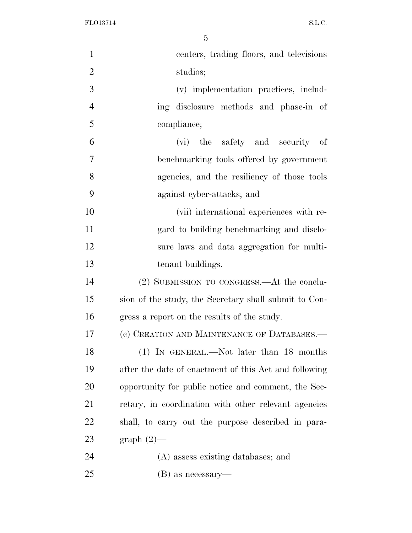FLO13714 S.L.C.

| $\mathbf{1}$   | centers, trading floors, and televisions              |
|----------------|-------------------------------------------------------|
| $\overline{2}$ | studios;                                              |
| 3              | (v) implementation practices, includ-                 |
| $\overline{4}$ | ing disclosure methods and phase-in of                |
| 5              | compliance;                                           |
| 6              | (vi) the safety and security of                       |
| 7              | benchmarking tools offered by government              |
| 8              | agencies, and the resiliency of those tools           |
| 9              | against cyber-attacks; and                            |
| 10             | (vii) international experiences with re-              |
| 11             | gard to building benchmarking and disclo-             |
| 12             | sure laws and data aggregation for multi-             |
| 13             | tenant buildings.                                     |
| 14             | (2) SUBMISSION TO CONGRESS.—At the conclu-            |
| 15             | sion of the study, the Secretary shall submit to Con- |
| 16             | gress a report on the results of the study.           |
| 17             | (c) CREATION AND MAINTENANCE OF DATABASES.—           |
| 18             | (1) IN GENERAL.—Not later than 18 months              |
| 19             | after the date of enactment of this Act and following |
| 20             | opportunity for public notice and comment, the Sec-   |
| 21             | retary, in coordination with other relevant agencies  |
| 22             | shall, to carry out the purpose described in para-    |
| 23             | $graph(2)$ —                                          |
| 24             | (A) assess existing databases; and                    |
| 25             | $(B)$ as necessary—                                   |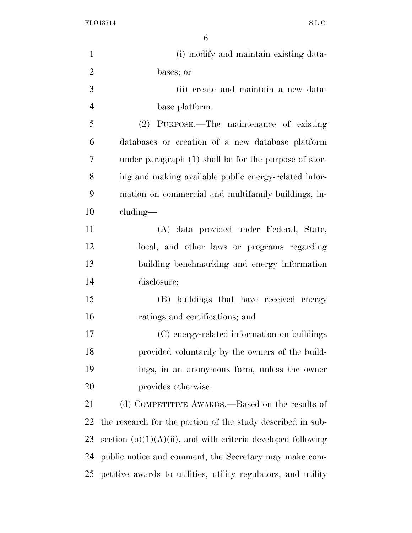FLO13714 S.L.C.

| $\mathbf{1}$   | (i) modify and maintain existing data-                          |
|----------------|-----------------------------------------------------------------|
| $\overline{2}$ | bases; or                                                       |
| 3              | (ii) create and maintain a new data-                            |
| $\overline{4}$ | base platform.                                                  |
| 5              | (2) PURPOSE.—The maintenance of existing                        |
| 6              | databases or creation of a new database platform                |
| 7              | under paragraph (1) shall be for the purpose of stor-           |
| 8              | ing and making available public energy-related infor-           |
| 9              | mation on commercial and multifamily buildings, in-             |
| 10             | cluding—                                                        |
| 11             | (A) data provided under Federal, State,                         |
| 12             | local, and other laws or programs regarding                     |
| 13             | building benchmarking and energy information                    |
| 14             | disclosure;                                                     |
| 15             | (B) buildings that have received energy                         |
| 16             | ratings and certifications; and                                 |
| 17             | (C) energy-related information on buildings                     |
| 18             | provided voluntarily by the owners of the build-                |
| 19             | ings, in an anonymous form, unless the owner                    |
| 20             | provides otherwise.                                             |
| 21             | (d) COMPETITIVE AWARDS.—Based on the results of                 |
| 22             | the research for the portion of the study described in sub-     |
| 23             | section $(b)(1)(A)(ii)$ , and with criteria developed following |
| 24             | public notice and comment, the Secretary may make com-          |
| 25             | petitive awards to utilities, utility regulators, and utility   |